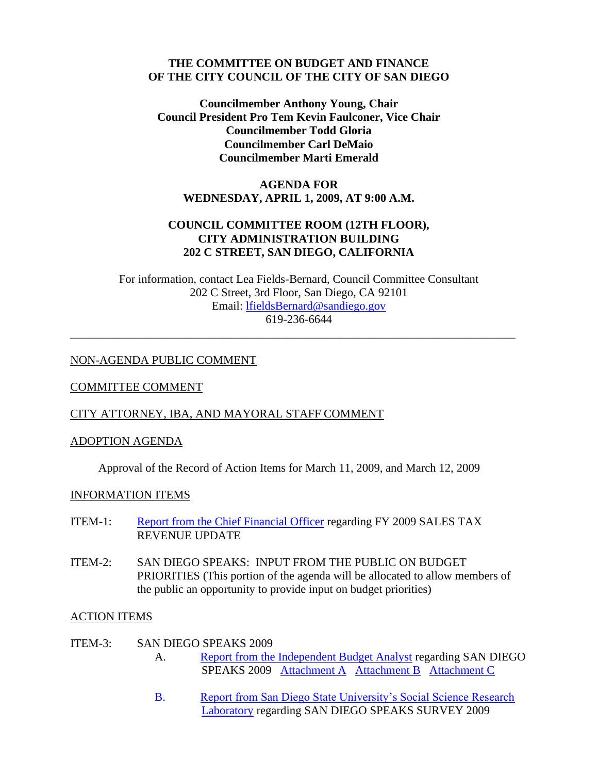#### **THE COMMITTEE ON BUDGET AND FINANCE OF THE CITY COUNCIL OF THE CITY OF SAN DIEGO**

**Councilmember Anthony Young, Chair Council President Pro Tem Kevin Faulconer, Vice Chair Councilmember Todd Gloria Councilmember Carl DeMaio Councilmember Marti Emerald**

# **AGENDA FOR WEDNESDAY, APRIL 1, 2009, AT 9:00 A.M.**

# **COUNCIL COMMITTEE ROOM (12TH FLOOR), CITY ADMINISTRATION BUILDING 202 C STREET, SAN DIEGO, CALIFORNIA**

For information, contact Lea Fields-Bernard, Council Committee Consultant 202 C Street, 3rd Floor, San Diego, CA 92101 Email: [lfieldsBernard@sandiego.gov](mailto:lfieldsBernard@sandiego.gov) 619-236-6644

\_\_\_\_\_\_\_\_\_\_\_\_\_\_\_\_\_\_\_\_\_\_\_\_\_\_\_\_\_\_\_\_\_\_\_\_\_\_\_\_\_\_\_\_\_\_\_\_\_\_\_\_\_\_\_\_\_\_\_\_\_\_\_\_\_\_\_\_\_\_\_\_\_\_\_\_

## NON-AGENDA PUBLIC COMMENT

### COMMITTEE COMMENT

# CITY ATTORNEY, IBA, AND MAYORAL STAFF COMMENT

#### ADOPTION AGENDA

Approval of the Record of Action Items for March 11, 2009, and March 12, 2009

#### INFORMATION ITEMS

- ITEM-1: [Report from the Chief Financial Officer](http://docs.sandiego.gov/councilcomm_agendas_attach/2009/Budget_090401-1.pdf) regarding FY 2009 SALES TAX REVENUE UPDATE
- ITEM-2: SAN DIEGO SPEAKS: INPUT FROM THE PUBLIC ON BUDGET PRIORITIES (This portion of the agenda will be allocated to allow members of the public an opportunity to provide input on budget priorities)

#### ACTION ITEMS

- ITEM-3: SAN DIEGO SPEAKS 2009 A. [Report from the Independent Budget Analyst](http://www.sandiego.gov/iba/pdf/09_25.pdf) regarding SAN DIEGO SPEAKS 2009 [Attachment A](http://www.sandiego.gov/iba/pdf/09_25a.pdf) [Attachment B](http://www.sandiego.gov/iba/pdf/09_25b.pdf) [Attachment C](http://www.sandiego.gov/iba/pdf/09_25c.pdf)
	- B. [Report from San Diego State University's Social Science Research](http://docs.sandiego.gov/councilcomm_agendas_attach/2009/Budget_090401-3Bppt.pdf)  [Laboratory](http://docs.sandiego.gov/councilcomm_agendas_attach/2009/Budget_090401-3Bppt.pdf) regarding SAN DIEGO SPEAKS SURVEY 2009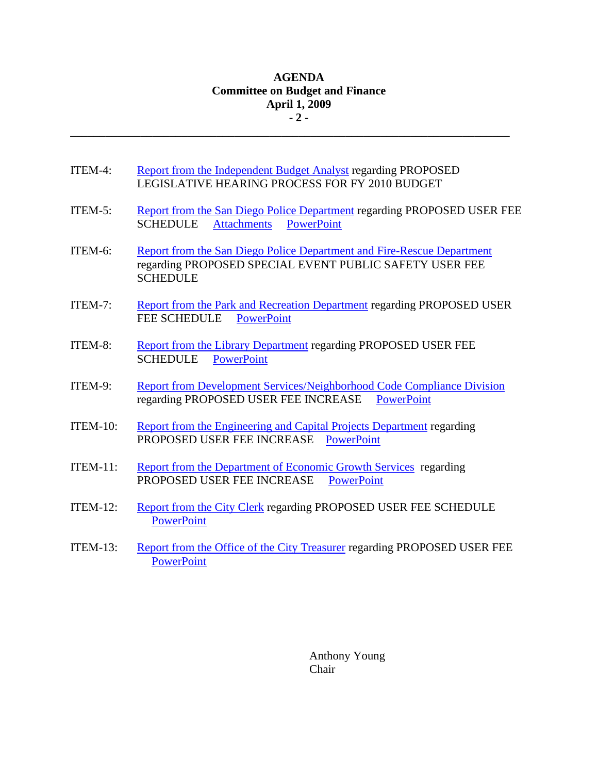### **AGENDA Committee on Budget and Finance April 1, 2009 - 2 -**

\_\_\_\_\_\_\_\_\_\_\_\_\_\_\_\_\_\_\_\_\_\_\_\_\_\_\_\_\_\_\_\_\_\_\_\_\_\_\_\_\_\_\_\_\_\_\_\_\_\_\_\_\_\_\_\_\_\_\_\_\_\_\_\_\_\_\_\_\_\_\_\_\_\_\_

- ITEM-4: [Report from the Independent Budget Analyst](http://www.sandiego.gov/iba/pdf/09_24.pdf) regarding PROPOSED LEGISLATIVE HEARING PROCESS FOR FY 2010 BUDGET
- ITEM-5: [Report from the San Diego Police Department](http://docs.sandiego.gov/councilcomm_agendas_attach/2009/Budget_090401-5.pdf) regarding PROPOSED USER FEE SCHEDULE [Attachments](http://docs.sandiego.gov/councilcomm_agendas_attach/2009/Budget_090401-5att.pdf) [PowerPoint](http://docs.sandiego.gov/councilcomm_agendas_attach/2009/Budget_090401-5ppt.pdf)
- ITEM-6: [Report from the San Diego Police Department and Fire-Rescue Department](http://docs.sandiego.gov/councilcomm_agendas_attach/2009/Budget_090401-6.pdf) regarding PROPOSED SPECIAL EVENT PUBLIC SAFETY USER FEE SCHEDULE
- ITEM-7: [Report from the Park and Recreation Department](http://docs.sandiego.gov/councilcomm_agendas_attach/2009/Budget_090401-7.pdf) regarding PROPOSED USER FEE SCHEDULE [PowerPoint](http://docs.sandiego.gov/councilcomm_agendas_attach/2009/Budget_090401-7ppt.pdf)
- ITEM-8: [Report from the Library Department](http://docs.sandiego.gov/councilcomm_agendas_attach/2009/Budget_090401-8.pdf) regarding PROPOSED USER FEE SCHEDULE [PowerPoint](http://docs.sandiego.gov/councilcomm_agendas_attach/2009/Budget_090401-8ppt.pdf)
- ITEM-9: [Report from Development Services/Neighborhood Code](http://docs.sandiego.gov/councilcomm_agendas_attach/2009/Budget_090401-9.pdf) Compliance Division regarding PROPOSED USER FEE INCREASE [PowerPoint](http://docs.sandiego.gov/councilcomm_agendas_attach/2009/Budget_090401-9ppt)
- ITEM-10: [Report from the Engineering and Capital Projects Department](http://docs.sandiego.gov/councilcomm_agendas_attach/2009/Budget_090401-10.pdf) regarding PROPOSED USER FEE INCREASE [PowerPoint](http://docs.sandiego.gov/councilcomm_agendas_attach/2009/Budget_090401-10ppt.pdf)
- ITEM-11: [Report from the Department of Economic Growth Services](http://docs.sandiego.gov/councilcomm_agendas_attach/2009/Budget_090401-11.pdf) regarding PROPOSED USER FEE INCREASE [PowerPoint](http://docs.sandiego.gov/councilcomm_agendas_attach/2009/Budget_090401-11ppt.pdf)
- ITEM-12: [Report from the City Clerk](http://docs.sandiego.gov/councilcomm_agendas_attach/2009/Budget_090401-12.pdf) regarding PROPOSED USER FEE SCHEDULE **[PowerPoint](http://docs.sandiego.gov/councilcomm_agendas_attach/2009/Budget_090401-12ppt.pdf)**
- ITEM-13: [Report from the Office of the City Treasurer](http://docs.sandiego.gov/councilcomm_agendas_attach/2009/Budget_090401-13.pdf) regarding PROPOSED USER FEE **[PowerPoint](http://docs.sandiego.gov/councilcomm_agendas_attach/2009/Budget_090401-13ppt.pdf)**

Anthony Young Chair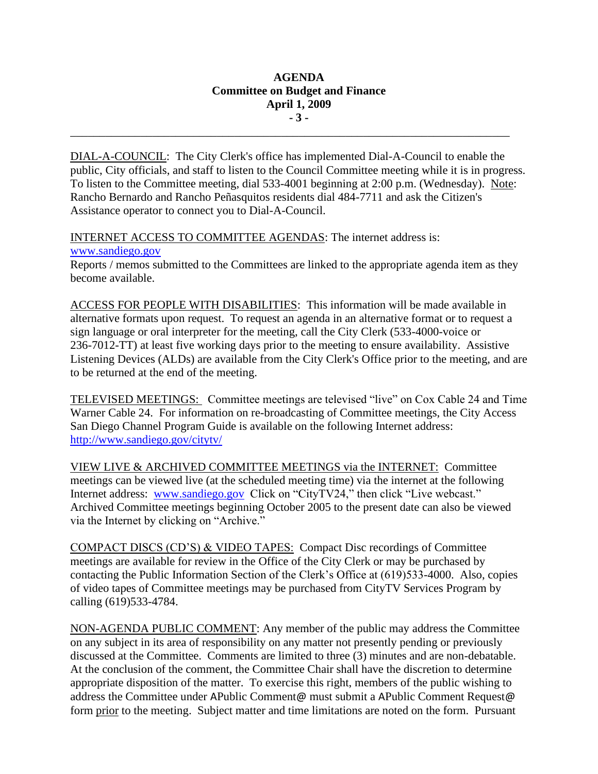### **AGENDA Committee on Budget and Finance April 1, 2009 - 3 -**

\_\_\_\_\_\_\_\_\_\_\_\_\_\_\_\_\_\_\_\_\_\_\_\_\_\_\_\_\_\_\_\_\_\_\_\_\_\_\_\_\_\_\_\_\_\_\_\_\_\_\_\_\_\_\_\_\_\_\_\_\_\_\_\_\_\_\_\_\_\_\_\_\_\_\_

DIAL-A-COUNCIL: The City Clerk's office has implemented Dial-A-Council to enable the public, City officials, and staff to listen to the Council Committee meeting while it is in progress. To listen to the Committee meeting, dial 533-4001 beginning at 2:00 p.m. (Wednesday). Note: Rancho Bernardo and Rancho Peñasquitos residents dial 484-7711 and ask the Citizen's Assistance operator to connect you to Dial-A-Council.

INTERNET ACCESS TO COMMITTEE AGENDAS: The internet address is: [www.sandiego.gov](http://clerkdoc.sannet.gov/citycouncilcomm/citycouncilcomm.html)

Reports / memos submitted to the Committees are linked to the appropriate agenda item as they become available.

ACCESS FOR PEOPLE WITH DISABILITIES: This information will be made available in alternative formats upon request. To request an agenda in an alternative format or to request a sign language or oral interpreter for the meeting, call the City Clerk (533-4000-voice or 236-7012-TT) at least five working days prior to the meeting to ensure availability. Assistive Listening Devices (ALDs) are available from the City Clerk's Office prior to the meeting, and are to be returned at the end of the meeting.

TELEVISED MEETINGS: Committee meetings are televised "live" on Cox Cable 24 and Time Warner Cable 24. For information on re-broadcasting of Committee meetings, the City Access San Diego Channel Program Guide is available on the following Internet address: <http://www.sandiego.gov/citytv/>

VIEW LIVE & ARCHIVED COMMITTEE MEETINGS via the INTERNET: Committee meetings can be viewed live (at the scheduled meeting time) via the internet at the following Internet address: [www.sandiego.gov](http://www.sandiego.gov/) Click on "CityTV24," then click "Live webcast." Archived Committee meetings beginning October 2005 to the present date can also be viewed via the Internet by clicking on "Archive."

COMPACT DISCS (CD'S) & VIDEO TAPES: Compact Disc recordings of Committee meetings are available for review in the Office of the City Clerk or may be purchased by contacting the Public Information Section of the Clerk's Office at (619)533-4000. Also, copies of video tapes of Committee meetings may be purchased from CityTV Services Program by calling (619)533-4784.

NON-AGENDA PUBLIC COMMENT: Any member of the public may address the Committee on any subject in its area of responsibility on any matter not presently pending or previously discussed at the Committee. Comments are limited to three (3) minutes and are non-debatable. At the conclusion of the comment, the Committee Chair shall have the discretion to determine appropriate disposition of the matter. To exercise this right, members of the public wishing to address the Committee under APublic Comment@ must submit a APublic Comment Request@ form prior to the meeting. Subject matter and time limitations are noted on the form. Pursuant